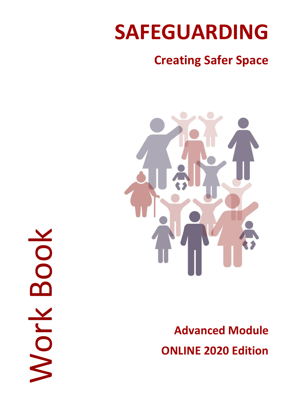# **SAFEGUARDING**

# **Creating Safer Space**



**Advanced Module ONLINE 2020 Edition** 

Work BookOO Nork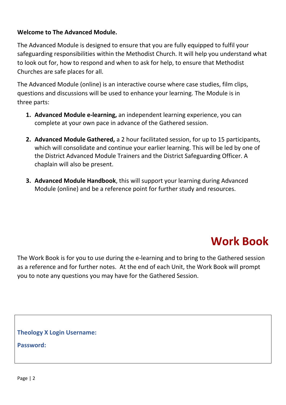#### **Welcome to The Advanced Module.**

The Advanced Module is designed to ensure that you are fully equipped to fulfil your safeguarding responsibilities within the Methodist Church. It will help you understand what to look out for, how to respond and when to ask for help, to ensure that Methodist Churches are safe places for all.

The Advanced Module (online) is an interactive course where case studies, film clips, questions and discussions will be used to enhance your learning. The Module is in three parts:

- **1. Advanced Module e-learning,** an independent learning experience, you can complete at your own pace in advance of the Gathered session.
- **2. Advanced Module Gathered,** a 2 hour facilitated session, for up to 15 participants, which will consolidate and continue your earlier learning. This will be led by one of the District Advanced Module Trainers and the District Safeguarding Officer. A chaplain will also be present.
- **3. Advanced Module Handbook**, this will support your learning during Advanced Module (online) and be a reference point for further study and resources.

# **Work Book**

The Work Book is for you to use during the e-learning and to bring to the Gathered session as a reference and for further notes. At the end of each Unit, the Work Book will prompt you to note any questions you may have for the Gathered Session.

**Theology X Login Username:** 

**Password:**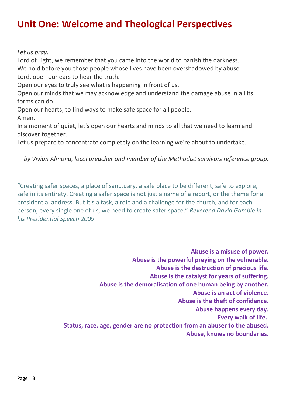### **Unit One: Welcome and Theological Perspectives**

*Let us pray.*

Lord of Light, we remember that you came into the world to banish the darkness. We hold before you those people whose lives have been overshadowed by abuse. Lord, open our ears to hear the truth.

Open our eyes to truly see what is happening in front of us.

Open our minds that we may acknowledge and understand the damage abuse in all its forms can do.

Open our hearts, to find ways to make safe space for all people. Amen.

In a moment of quiet, let's open our hearts and minds to all that we need to learn and discover together.

Let us prepare to concentrate completely on the learning we're about to undertake.

*by Vivian Almond, local preacher and member of the Methodist survivors reference group.*

"Creating safer spaces, a place of sanctuary, a safe place to be different, safe to explore, safe in its entirety. Creating a safer space is not just a name of a report, or the theme for a presidential address. But it's a task, a role and a challenge for the church, and for each person, every single one of us, we need to create safer space." *Reverend David Gamble in his Presidential Speech 2009*

> **Abuse is a misuse of power. Abuse is the powerful preying on the vulnerable. Abuse is the destruction of precious life. Abuse is the catalyst for years of suffering. Abuse is the demoralisation of one human being by another. Abuse is an act of violence. Abuse is the theft of confidence. Abuse happens every day. Every walk of life. Status, race, age, gender are no protection from an abuser to the abused. Abuse, knows no boundaries.**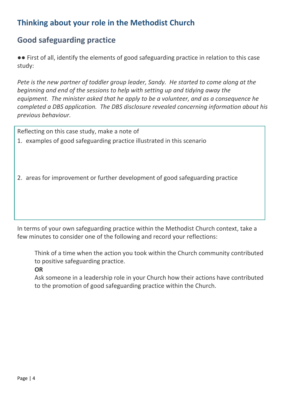#### **Thinking about your role in the Methodist Church**

#### **Good safeguarding practice**

●● First of all, identify the elements of good safeguarding practice in relation to this case study:

*Pete is the new partner of toddler group leader, Sandy. He started to come along at the beginning and end of the sessions to help with setting up and tidying away the equipment. The minister asked that he apply to be a volunteer, and as a consequence he completed a DBS application. The DBS disclosure revealed concerning information about his previous behaviour.*

Reflecting on this case study, make a note of

1. examples of good safeguarding practice illustrated in this scenario

2. areas for improvement or further development of good safeguarding practice

In terms of your own safeguarding practice within the Methodist Church context, take a few minutes to consider one of the following and record your reflections:

Think of a time when the action you took within the Church community contributed to positive safeguarding practice.

**OR**

Ask someone in a leadership role in your Church how their actions have contributed to the promotion of good safeguarding practice within the Church.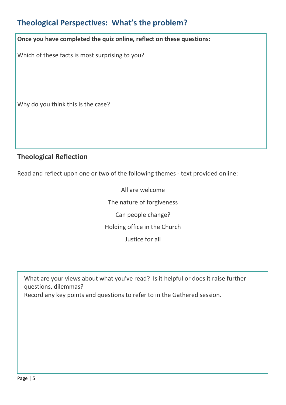#### **Theological Perspectives: What's the problem?**

**Once you have completed the quiz online, reflect on these questions:**

Which of these facts is most surprising to you?

Why do you think this is the case?

#### **Theological Reflection**

Read and reflect upon one or two of the following themes - text provided online:

All are welcome The nature of forgiveness Can people change? Holding office in the Church Justice for all

What are your views about what you've read? Is it helpful or does it raise further questions, dilemmas? Record any key points and questions to refer to in the Gathered session.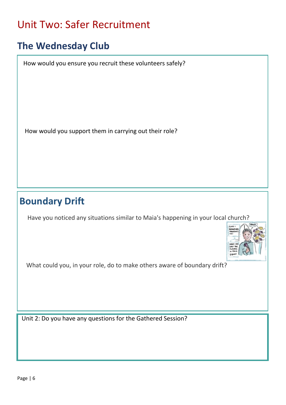# Unit Two: Safer Recruitment

# **The Wednesday Club**

How would you ensure you recruit these volunteers safely?

How would you support them in carrying out their role?

### **Boundary Drift**

Have you noticed any situations similar to Maia's happening in your local church?



What could you, in your role, do to make others aware of boundary drift?

Unit 2: Do you have any questions for the Gathered Session?

I

I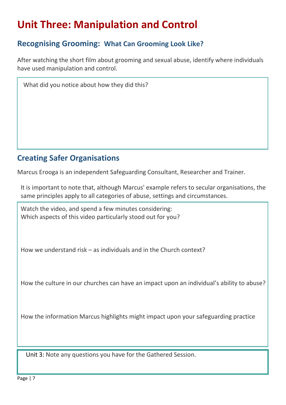# **Unit Three: Manipulation and Control**

#### **Recognising Grooming: What Can Grooming Look Like?**

After watching the short film about grooming and sexual abuse, identify where individuals have used manipulation and control.

What did you notice about how they did this?

#### **Creating Safer Organisations**

Marcus Erooga is an independent Safeguarding Consultant, Researcher and Trainer.

It is important to note that, although Marcus' example refers to secular organisations, the same principles apply to all categories of abuse, settings and circumstances.

Watch the video, and spend a few minutes considering: Which aspects of this video particularly stood out for you?

How we understand risk – as individuals and in the Church context?

How the culture in our churches can have an impact upon an individual's ability to abuse?

How the information Marcus highlights might impact upon your safeguarding practice

Unit 3: Note any questions you have for the Gathered Session.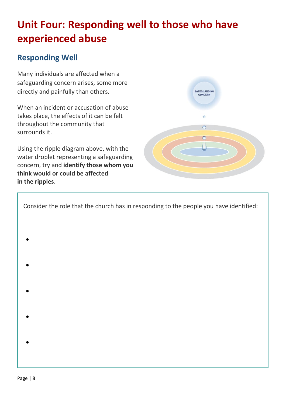# **Unit Four: Responding well to those who have experienced abuse**

**SAFEGUARDING** CONCERN

 $\circ$ 

#### **Responding Well**

Many individuals are affected when a safeguarding concern arises, some more directly and painfully than others.

When an incident or accusation of abuse takes place, the effects of it can be felt throughout the community that surrounds it.

Using the ripple diagram above, with the water droplet representing a safeguarding concern, try and **identify those whom you think would or could be affected in the ripples**.

| Consider the role that the church has in responding to the people you have identified: |  |
|----------------------------------------------------------------------------------------|--|
|                                                                                        |  |
|                                                                                        |  |
|                                                                                        |  |
|                                                                                        |  |
|                                                                                        |  |
|                                                                                        |  |
|                                                                                        |  |
|                                                                                        |  |
|                                                                                        |  |
|                                                                                        |  |
|                                                                                        |  |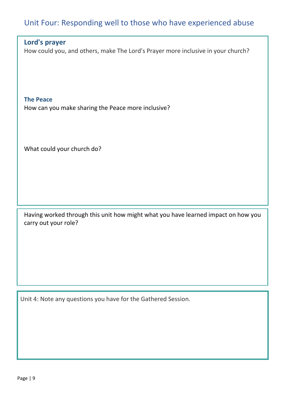#### Unit Four: Responding well to those who have experienced abuse

#### **Lord's prayer**

How could you, and others, make The Lord's Prayer more inclusive in your church?

**The Peace** How can you make sharing the Peace more inclusive?

What could your church do?

Having worked through this unit how might what you have learned impact on how you carry out your role?

Unit 4: Note any questions you have for the Gathered Session.

I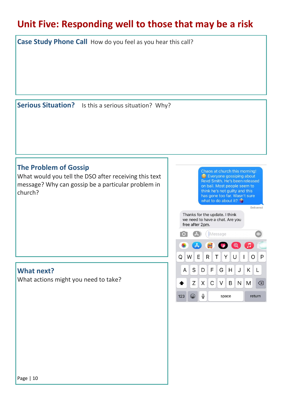# **Unit Five: Responding well to those that may be a risk**

**Case Study Phone Call** How do you feel as you hear this call?

**Serious Situation?** Is this a serious situation? Why?

#### **The Problem of Gossip**

What would you tell the DSO after receiving this text message? Why can gossip be a particular problem in church?

Chaos at church this morning! <sup>6</sup> Everyone gossiping about Revd Smith. He's been released on bail. Most people seem to think he's not guilty and this has gone too far. Wasn't sure what to do about it?

Delivered

Thanks for the update. I think we need to have a chat. Are you free after 2pm.



#### **What next?**

What actions might you need to take?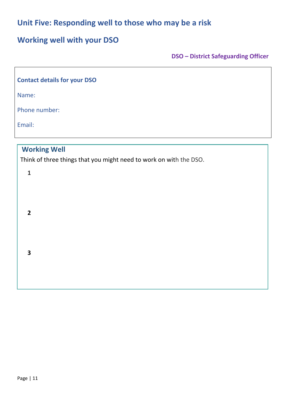#### **Unit Five: Responding well to those who may be a risk**

#### **Working well with your DSO**

**DSO – District Safeguarding Officer**

| <b>Contact details for your DSO</b> |                                                                                                           |  |  |  |  |  |  |  |
|-------------------------------------|-----------------------------------------------------------------------------------------------------------|--|--|--|--|--|--|--|
|                                     | Name:                                                                                                     |  |  |  |  |  |  |  |
|                                     | Phone number:                                                                                             |  |  |  |  |  |  |  |
|                                     | Email:                                                                                                    |  |  |  |  |  |  |  |
|                                     | <b>Working Well</b><br>Think of three things that you might need to work on with the DSO.<br>$\mathbf{1}$ |  |  |  |  |  |  |  |
|                                     | $\overline{2}$                                                                                            |  |  |  |  |  |  |  |
|                                     | 3                                                                                                         |  |  |  |  |  |  |  |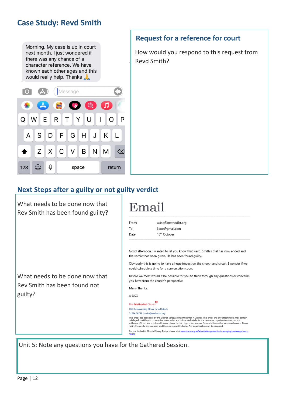#### **Case Study: Revd Smith**

Morning. My case is up in court next month. I just wondered if there was any chance of a character reference. We have known each other ages and this would really help. Thanks



#### **Request for a reference for court**

 How would you respond to this request from . Revd Smith?

#### **Next Steps after a guilty or not guilty verdict**

What needs to be done now that Rev Smith has been found guilty?

What needs to be done now that Rev Smith has been found not guilty?

# Email

| From: | a.dso@methodist.org      |
|-------|--------------------------|
| To:   | j.doe@gmail.com          |
| Date  | 13 <sup>th</sup> October |
|       |                          |

Good afternoon. I wanted to let you know that Revd. Smith's trial has now ended and the verdict has been given. He has been found guilty.

Obviously this is going to have a huge impact on the church and circuit. I wonder if we could schedule a time for a conversation soon.

Before we meet would it be possible for you to think through any questions or concerns you have from the church's perspective.

Many Thanks.

A DSO

The Methodist Church DSO Safeguarding Officer for A District. 01234 56789 | a.dso@methodist.org This email has been sent by the District Safeguarding Officer for A District. This email and any attachments may contain<br>privileged, confidential or sensitive information and is intended solely for the person or organisati

For the Methodist Church Privacy Notice please visit www.tmcp.org.uk/ab

Unit 5: Note any questions you have for the Gathered Session.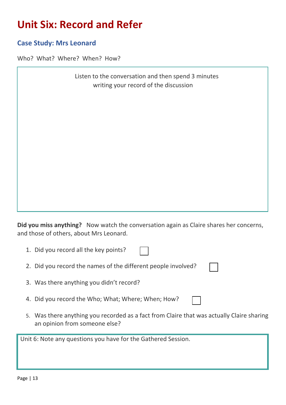# **Unit Six: Record and Refer**

#### **Case Study: Mrs Leonard**

Who? What? Where? When? How?

|                                       | Listen to the conversation and then spend 3 minutes |
|---------------------------------------|-----------------------------------------------------|
| writing your record of the discussion |                                                     |

**Did you miss anything?** Now watch the conversation again as Claire shares her concerns, and those of others, about Mrs Leonard.

| 1. Did you record all the key points?                         |  |
|---------------------------------------------------------------|--|
| 2. Did you record the names of the different people involved? |  |

- 3. Was there anything you didn't record?
- 4. Did you record the Who; What; Where; When; How?
- 5. Was there anything you recorded as a fact from Claire that was actually Claire sharing an opinion from someone else?

Unit 6: Note any questions you have for the Gathered Session.